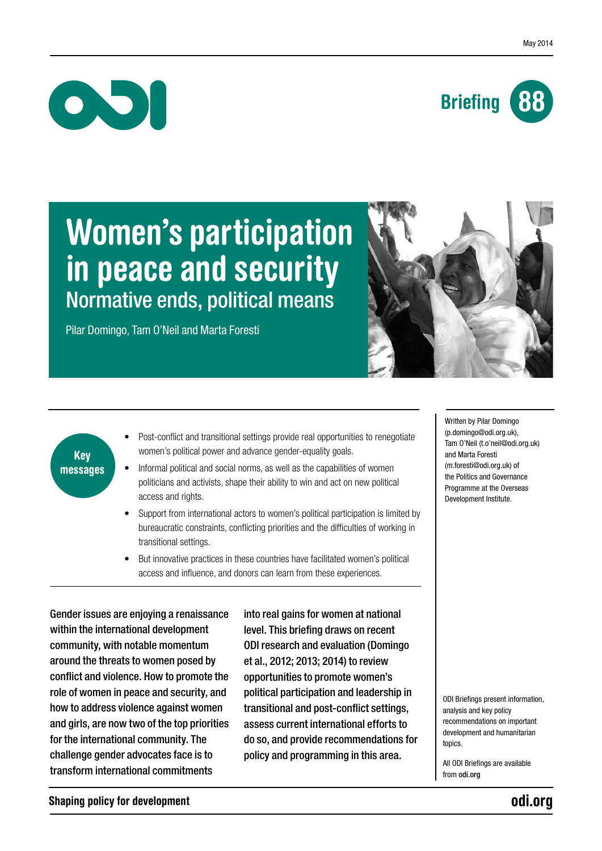



# Women's participation in peace and security Normative ends, political means

Pilar Domingo, Tam O'Neil and Marta Foresti



## Key messages

- Post-conflict and transitional settings provide real opportunities to renegotiate women's political power and advance gender-equality goals.
- Informal political and social norms, as well as the capabilities of women politicians and activists, shape their ability to win and act on new political access and rights.
- Support from international actors to women's political participation is limited by bureaucratic constraints, conflicting priorities and the difficulties of working in transitional settings.
- But innovative practices in these countries have facilitated women's political access and influence, and donors can learn from these experiences.

Gender issues are enjoying a renaissance within the international development community, with notable momentum around the threats to women posed by conflict and violence. How to promote the role of women in peace and security, and how to address violence against women and girls, are now two of the top priorities for the international community. The challenge gender advocates face is to transform international commitments

into real gains for women at national level. This briefing draws on recent ODI research and evaluation (Domingo et al., 2012; 2013; 2014) to review opportunities to promote women's political participation and leadership in transitional and post-conflict settings, assess current international efforts to do so, and provide recommendations for policy and programming in this area.

Written by Pilar Domingo (p.domingo@odi.org.uk), Tam O'Neil (t.o'neil@odi.org.uk) and Marta Foresti (m.foresti@odi.org.uk) of the Politics and Governance Programme at the Overseas Development Institute.

ODI Briefings present information, analysis and key policy recommendations on important development and humanitarian topics.

All ODI Briefings are available from <odi.org>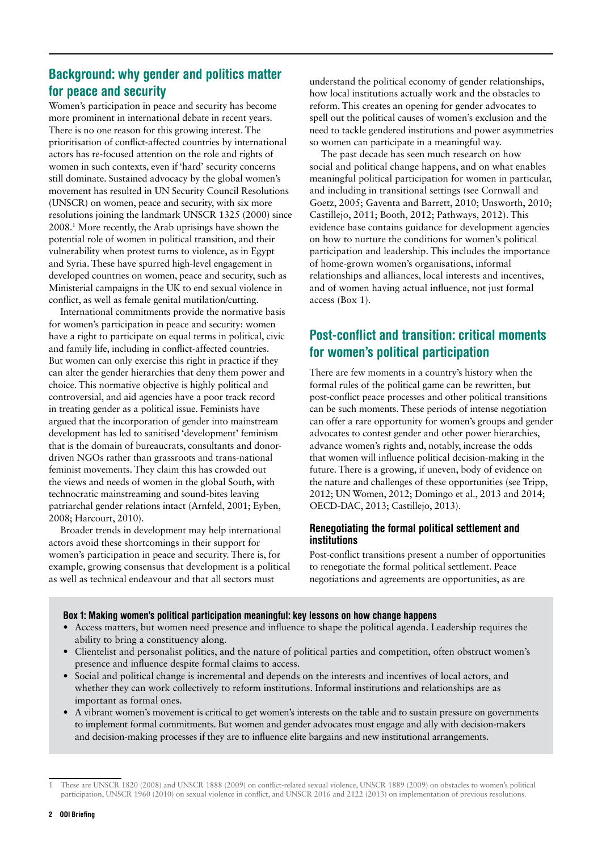## Background: why gender and politics matter for peace and security

Women's participation in peace and security has become more prominent in international debate in recent years. There is no one reason for this growing interest. The prioritisation of conflict-affected countries by international actors has re-focused attention on the role and rights of women in such contexts, even if 'hard' security concerns still dominate. Sustained advocacy by the global women's movement has resulted in UN Security Council Resolutions (UNSCR) on women, peace and security, with six more resolutions joining the landmark UNSCR 1325 (2000) since 2008.1 More recently, the Arab uprisings have shown the potential role of women in political transition, and their vulnerability when protest turns to violence, as in Egypt and Syria. These have spurred high-level engagement in developed countries on women, peace and security, such as Ministerial campaigns in the UK to end sexual violence in conflict, as well as female genital mutilation/cutting.

International commitments provide the normative basis for women's participation in peace and security: women have a right to participate on equal terms in political, civic and family life, including in conflict-affected countries. But women can only exercise this right in practice if they can alter the gender hierarchies that deny them power and choice. This normative objective is highly political and controversial, and aid agencies have a poor track record in treating gender as a political issue. Feminists have argued that the incorporation of gender into mainstream development has led to sanitised 'development' feminism that is the domain of bureaucrats, consultants and donordriven NGOs rather than grassroots and trans-national feminist movements. They claim this has crowded out the views and needs of women in the global South, with technocratic mainstreaming and sound-bites leaving patriarchal gender relations intact (Arnfeld, 2001; Eyben, 2008; Harcourt, 2010).

Broader trends in development may help international actors avoid these shortcomings in their support for women's participation in peace and security. There is, for example, growing consensus that development is a political as well as technical endeavour and that all sectors must

understand the political economy of gender relationships, how local institutions actually work and the obstacles to reform. This creates an opening for gender advocates to spell out the political causes of women's exclusion and the need to tackle gendered institutions and power asymmetries so women can participate in a meaningful way.

The past decade has seen much research on how social and political change happens, and on what enables meaningful political participation for women in particular, and including in transitional settings (see Cornwall and Goetz, 2005; Gaventa and Barrett, 2010; Unsworth, 2010; Castillejo, 2011; Booth, 2012; Pathways, 2012). This evidence base contains guidance for development agencies on how to nurture the conditions for women's political participation and leadership. This includes the importance of home-grown women's organisations, informal relationships and alliances, local interests and incentives, and of women having actual influence, not just formal access (Box 1).

## Post-conflict and transition: critical moments for women's political participation

There are few moments in a country's history when the formal rules of the political game can be rewritten, but post-conflict peace processes and other political transitions can be such moments. These periods of intense negotiation can offer a rare opportunity for women's groups and gender advocates to contest gender and other power hierarchies, advance women's rights and, notably, increase the odds that women will influence political decision-making in the future. There is a growing, if uneven, body of evidence on the nature and challenges of these opportunities (see Tripp, 2012; UN Women, 2012; Domingo et al., 2013 and 2014; OECD-DAC, 2013; Castillejo, 2013).

## Renegotiating the formal political settlement and institutions

Post-conflict transitions present a number of opportunities to renegotiate the formal political settlement. Peace negotiations and agreements are opportunities, as are

## Box 1: Making women's political participation meaningful: key lessons on how change happens

- **•** Access matters, but women need presence and influence to shape the political agenda. Leadership requires the ability to bring a constituency along.
- **•** Clientelist and personalist politics, and the nature of political parties and competition, often obstruct women's presence and influence despite formal claims to access.
- **•** Social and political change is incremental and depends on the interests and incentives of local actors, and whether they can work collectively to reform institutions. Informal institutions and relationships are as important as formal ones.
- **•** A vibrant women's movement is critical to get women's interests on the table and to sustain pressure on governments to implement formal commitments. But women and gender advocates must engage and ally with decision-makers and decision-making processes if they are to influence elite bargains and new institutional arrangements.

<sup>1</sup> These are UNSCR 1820 (2008) and UNSCR 1888 (2009) on conflict-related sexual violence, UNSCR 1889 (2009) on obstacles to women's political participation, UNSCR 1960 (2010) on sexual violence in conflict, and UNSCR 2016 and 2122 (2013) on implementation of previous resolutions.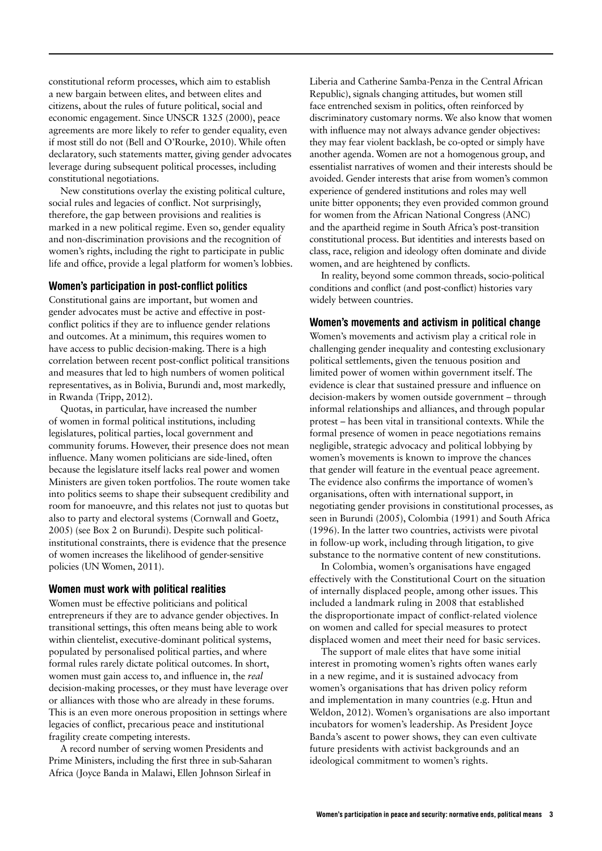constitutional reform processes, which aim to establish a new bargain between elites, and between elites and citizens, about the rules of future political, social and economic engagement. Since UNSCR 1325 (2000), peace agreements are more likely to refer to gender equality, even if most still do not (Bell and O'Rourke, 2010). While often declaratory, such statements matter, giving gender advocates leverage during subsequent political processes, including constitutional negotiations.

New constitutions overlay the existing political culture, social rules and legacies of conflict. Not surprisingly, therefore, the gap between provisions and realities is marked in a new political regime. Even so, gender equality and non-discrimination provisions and the recognition of women's rights, including the right to participate in public life and office, provide a legal platform for women's lobbies.

## Women's participation in post-conflict politics

Constitutional gains are important, but women and gender advocates must be active and effective in postconflict politics if they are to influence gender relations and outcomes. At a minimum, this requires women to have access to public decision-making. There is a high correlation between recent post-conflict political transitions and measures that led to high numbers of women political representatives, as in Bolivia, Burundi and, most markedly, in Rwanda (Tripp, 2012).

Quotas, in particular, have increased the number of women in formal political institutions, including legislatures, political parties, local government and community forums. However, their presence does not mean influence. Many women politicians are side-lined, often because the legislature itself lacks real power and women Ministers are given token portfolios. The route women take into politics seems to shape their subsequent credibility and room for manoeuvre, and this relates not just to quotas but also to party and electoral systems (Cornwall and Goetz, 2005) (see Box 2 on Burundi). Despite such politicalinstitutional constraints, there is evidence that the presence of women increases the likelihood of gender-sensitive policies (UN Women, 2011).

## Women must work with political realities

Women must be effective politicians and political entrepreneurs if they are to advance gender objectives. In transitional settings, this often means being able to work within clientelist, executive-dominant political systems, populated by personalised political parties, and where formal rules rarely dictate political outcomes. In short, women must gain access to, and influence in, the *real*  decision-making processes, or they must have leverage over or alliances with those who are already in these forums. This is an even more onerous proposition in settings where legacies of conflict, precarious peace and institutional fragility create competing interests.

A record number of serving women Presidents and Prime Ministers, including the first three in sub-Saharan Africa (Joyce Banda in Malawi, Ellen Johnson Sirleaf in

Liberia and Catherine Samba-Penza in the Central African Republic), signals changing attitudes, but women still face entrenched sexism in politics, often reinforced by discriminatory customary norms. We also know that women with influence may not always advance gender objectives: they may fear violent backlash, be co-opted or simply have another agenda. Women are not a homogenous group, and essentialist narratives of women and their interests should be avoided. Gender interests that arise from women's common experience of gendered institutions and roles may well unite bitter opponents; they even provided common ground for women from the African National Congress (ANC) and the apartheid regime in South Africa's post-transition constitutional process. But identities and interests based on class, race, religion and ideology often dominate and divide women, and are heightened by conflicts.

In reality, beyond some common threads, socio-political conditions and conflict (and post-conflict) histories vary widely between countries.

### Women's movements and activism in political change

Women's movements and activism play a critical role in challenging gender inequality and contesting exclusionary political settlements, given the tenuous position and limited power of women within government itself. The evidence is clear that sustained pressure and influence on decision-makers by women outside government – through informal relationships and alliances, and through popular protest – has been vital in transitional contexts. While the formal presence of women in peace negotiations remains negligible, strategic advocacy and political lobbying by women's movements is known to improve the chances that gender will feature in the eventual peace agreement. The evidence also confirms the importance of women's organisations, often with international support, in negotiating gender provisions in constitutional processes, as seen in Burundi (2005), Colombia (1991) and South Africa (1996). In the latter two countries, activists were pivotal in follow-up work, including through litigation, to give substance to the normative content of new constitutions.

In Colombia, women's organisations have engaged effectively with the Constitutional Court on the situation of internally displaced people, among other issues. This included a landmark ruling in 2008 that established the disproportionate impact of conflict-related violence on women and called for special measures to protect displaced women and meet their need for basic services.

The support of male elites that have some initial interest in promoting women's rights often wanes early in a new regime, and it is sustained advocacy from women's organisations that has driven policy reform and implementation in many countries (e.g. Htun and Weldon, 2012). Women's organisations are also important incubators for women's leadership. As President Joyce Banda's ascent to power shows, they can even cultivate future presidents with activist backgrounds and an ideological commitment to women's rights.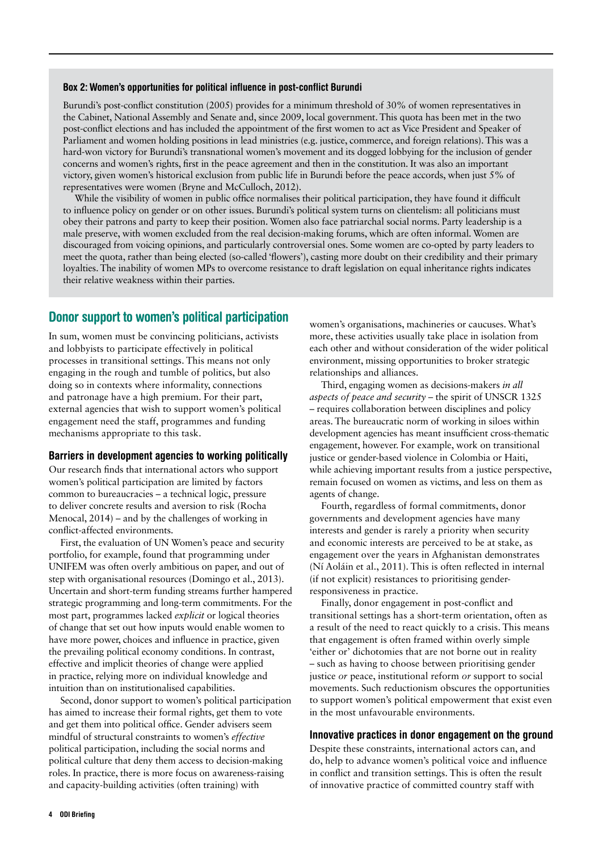#### Box 2: Women's opportunities for political influence in post-conflict Burundi

Burundi's post-conflict constitution (2005) provides for a minimum threshold of 30% of women representatives in the Cabinet, National Assembly and Senate and, since 2009, local government. This quota has been met in the two post-conflict elections and has included the appointment of the first women to act as Vice President and Speaker of Parliament and women holding positions in lead ministries (e.g. justice, commerce, and foreign relations). This was a hard-won victory for Burundi's transnational women's movement and its dogged lobbying for the inclusion of gender concerns and women's rights, first in the peace agreement and then in the constitution. It was also an important victory, given women's historical exclusion from public life in Burundi before the peace accords, when just 5% of representatives were women (Bryne and McCulloch, 2012).

While the visibility of women in public office normalises their political participation, they have found it difficult to influence policy on gender or on other issues. Burundi's political system turns on clientelism: all politicians must obey their patrons and party to keep their position. Women also face patriarchal social norms. Party leadership is a male preserve, with women excluded from the real decision-making forums, which are often informal. Women are discouraged from voicing opinions, and particularly controversial ones. Some women are co-opted by party leaders to meet the quota, rather than being elected (so-called 'flowers'), casting more doubt on their credibility and their primary loyalties. The inability of women MPs to overcome resistance to draft legislation on equal inheritance rights indicates their relative weakness within their parties.

## Donor support to women's political participation

In sum, women must be convincing politicians, activists and lobbyists to participate effectively in political processes in transitional settings. This means not only engaging in the rough and tumble of politics, but also doing so in contexts where informality, connections and patronage have a high premium. For their part, external agencies that wish to support women's political engagement need the staff, programmes and funding mechanisms appropriate to this task.

#### Barriers in development agencies to working politically

Our research finds that international actors who support women's political participation are limited by factors common to bureaucracies – a technical logic, pressure to deliver concrete results and aversion to risk (Rocha Menocal, 2014) – and by the challenges of working in conflict-affected environments.

First, the evaluation of UN Women's peace and security portfolio, for example, found that programming under UNIFEM was often overly ambitious on paper, and out of step with organisational resources (Domingo et al., 2013). Uncertain and short-term funding streams further hampered strategic programming and long-term commitments. For the most part, programmes lacked *explicit* or logical theories of change that set out how inputs would enable women to have more power, choices and influence in practice, given the prevailing political economy conditions. In contrast, effective and implicit theories of change were applied in practice, relying more on individual knowledge and intuition than on institutionalised capabilities.

Second, donor support to women's political participation has aimed to increase their formal rights, get them to vote and get them into political office. Gender advisers seem mindful of structural constraints to women's *effective*  political participation, including the social norms and political culture that deny them access to decision-making roles. In practice, there is more focus on awareness-raising and capacity-building activities (often training) with

women's organisations, machineries or caucuses. What's more, these activities usually take place in isolation from each other and without consideration of the wider political environment, missing opportunities to broker strategic relationships and alliances.

Third, engaging women as decisions-makers *in all aspects of peace and security* – the spirit of UNSCR 1325 – requires collaboration between disciplines and policy areas. The bureaucratic norm of working in siloes within development agencies has meant insufficient cross-thematic engagement, however. For example, work on transitional justice or gender-based violence in Colombia or Haiti, while achieving important results from a justice perspective, remain focused on women as victims, and less on them as agents of change.

Fourth, regardless of formal commitments, donor governments and development agencies have many interests and gender is rarely a priority when security and economic interests are perceived to be at stake, as engagement over the years in Afghanistan demonstrates (Ní Aoláin et al., 2011). This is often reflected in internal (if not explicit) resistances to prioritising genderresponsiveness in practice.

Finally, donor engagement in post-conflict and transitional settings has a short-term orientation, often as a result of the need to react quickly to a crisis. This means that engagement is often framed within overly simple 'either or' dichotomies that are not borne out in reality – such as having to choose between prioritising gender justice *or* peace, institutional reform *or* support to social movements. Such reductionism obscures the opportunities to support women's political empowerment that exist even in the most unfavourable environments.

## Innovative practices in donor engagement on the ground

Despite these constraints, international actors can, and do, help to advance women's political voice and influence in conflict and transition settings. This is often the result of innovative practice of committed country staff with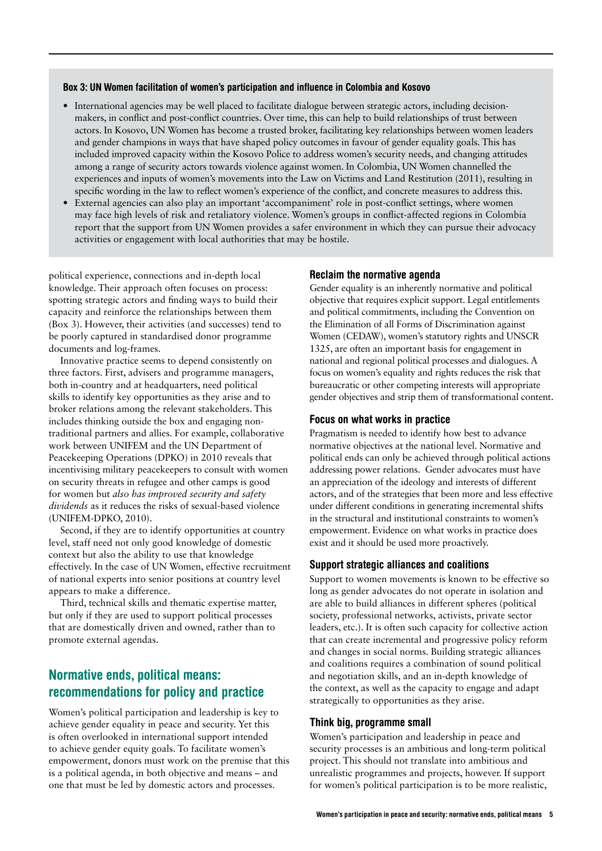#### Box 3: UN Women facilitation of women's participation and influence in Colombia and Kosovo

- International agencies may be well placed to facilitate dialogue between strategic actors, including decisionmakers, in conflict and post-conflict countries. Over time, this can help to build relationships of trust between actors. In Kosovo, UN Women has become a trusted broker, facilitating key relationships between women leaders and gender champions in ways that have shaped policy outcomes in favour of gender equality goals. This has included improved capacity within the Kosovo Police to address women's security needs, and changing attitudes among a range of security actors towards violence against women. In Colombia, UN Women channelled the experiences and inputs of women's movements into the Law on Victims and Land Restitution (2011), resulting in specific wording in the law to reflect women's experience of the conflict, and concrete measures to address this.
- **•** External agencies can also play an important 'accompaniment' role in post-conflict settings, where women may face high levels of risk and retaliatory violence. Women's groups in conflict-affected regions in Colombia report that the support from UN Women provides a safer environment in which they can pursue their advocacy activities or engagement with local authorities that may be hostile.

political experience, connections and in-depth local knowledge. Their approach often focuses on process: spotting strategic actors and finding ways to build their capacity and reinforce the relationships between them (Box 3). However, their activities (and successes) tend to be poorly captured in standardised donor programme documents and log-frames.

Innovative practice seems to depend consistently on three factors. First, advisers and programme managers, both in-country and at headquarters, need political skills to identify key opportunities as they arise and to broker relations among the relevant stakeholders. This includes thinking outside the box and engaging nontraditional partners and allies. For example, collaborative work between UNIFEM and the UN Department of Peacekeeping Operations (DPKO) in 2010 reveals that incentivising military peacekeepers to consult with women on security threats in refugee and other camps is good for women but *also has improved security and safety dividends* as it reduces the risks of sexual-based violence (UNIFEM-DPKO, 2010).

Second, if they are to identify opportunities at country level, staff need not only good knowledge of domestic context but also the ability to use that knowledge effectively. In the case of UN Women, effective recruitment of national experts into senior positions at country level appears to make a difference.

Third, technical skills and thematic expertise matter, but only if they are used to support political processes that are domestically driven and owned, rather than to promote external agendas.

## Normative ends, political means: recommendations for policy and practice

Women's political participation and leadership is key to achieve gender equality in peace and security. Yet this is often overlooked in international support intended to achieve gender equity goals. To facilitate women's empowerment, donors must work on the premise that this is a political agenda, in both objective and means – and one that must be led by domestic actors and processes.

### Reclaim the normative agenda

Gender equality is an inherently normative and political objective that requires explicit support. Legal entitlements and political commitments, including the Convention on the Elimination of all Forms of Discrimination against Women (CEDAW), women's statutory rights and UNSCR 1325, are often an important basis for engagement in national and regional political processes and dialogues. A focus on women's equality and rights reduces the risk that bureaucratic or other competing interests will appropriate gender objectives and strip them of transformational content.

## Focus on what works in practice

Pragmatism is needed to identify how best to advance normative objectives at the national level. Normative and political ends can only be achieved through political actions addressing power relations. Gender advocates must have an appreciation of the ideology and interests of different actors, and of the strategies that been more and less effective under different conditions in generating incremental shifts in the structural and institutional constraints to women's empowerment. Evidence on what works in practice does exist and it should be used more proactively.

## Support strategic alliances and coalitions

Support to women movements is known to be effective so long as gender advocates do not operate in isolation and are able to build alliances in different spheres (political society, professional networks, activists, private sector leaders, etc.). It is often such capacity for collective action that can create incremental and progressive policy reform and changes in social norms. Building strategic alliances and coalitions requires a combination of sound political and negotiation skills, and an in-depth knowledge of the context, as well as the capacity to engage and adapt strategically to opportunities as they arise.

### Think big, programme small

Women's participation and leadership in peace and security processes is an ambitious and long-term political project. This should not translate into ambitious and unrealistic programmes and projects, however. If support for women's political participation is to be more realistic,